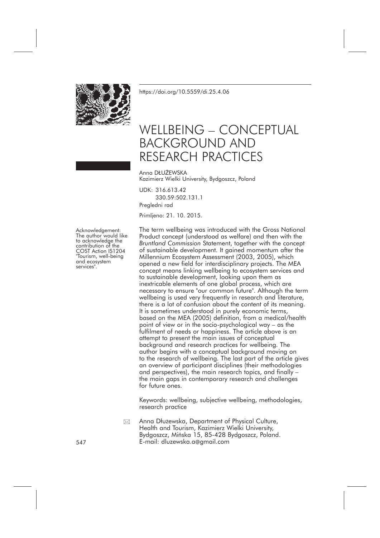

<https://doi.org/10.5559/di.25.4.06>

# WELLBEING – CONCEPTUAL BACKGROUND AND RESEARCH PRACTICES

Anna DŁUŻEWSKA Kazimierz Wielki University, Bydgoszcz, Poland

UDK: 316.613.42 330.59:502.131.1 Pregledni rad

Primljeno: 21. 10. 2015.

Acknowledgement:<br>The author would like<br>to acknowledge the<br>contribution of the<br>COST Action IS1204<br>"Tourism, well-being<br>and ecosystem<br>services".

The term wellbeing was introduced with the Gross National Product concept (understood as welfare) and then with the *Bruntland Commission* Statement, together with the concept of sustainable development. It gained momentum after the Millennium Ecosystem Assessment (2003, 2005), which opened a new field for interdisciplinary projects. The MEA concept means linking wellbeing to ecosystem services and to sustainable development, looking upon them as inextricable elements of one global process, which are necessary to ensure "our common future". Although the term wellbeing is used very frequently in research and literature, there is a lot of confusion about the content of its meaning. It is sometimes understood in purely economic terms, based on the MEA (2005) definition, from a medical/health point of view or in the socio-psychological way – as the fulfilment of needs or happiness. The article above is an attempt to present the main issues of conceptual background and research practices for wellbeing. The author begins with a conceptual background moving on to the research of wellbeing. The last part of the article gives an overview of participant disciplines (their methodologies and perspectives), the main research topics, and finally – the main gaps in contemporary research and challenges for future ones.

Keywords: wellbeing, subjective wellbeing, methodologies, research practice

Anna Dłużewska, Department of Physical Culture, Health and Tourism, Kazimierz Wielki University, Bydgoszcz, Mińska 15, 85-428 Bydgoszcz, Poland. 547 E-mail: dluzewska.a@gmail.com  $\boxtimes$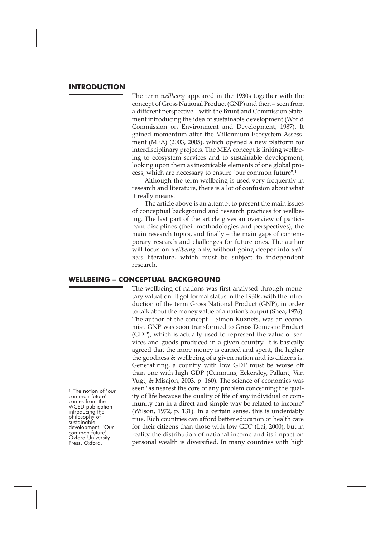# **INTRODUCTION**

The term *wellbeing* appeared in the 1930s together with the concept of Gross National Product (GNP) and then – seen from a different perspective – with the Bruntland Commission Statement introducing the idea of sustainable development (World Commission on Environment and Development, 1987). It gained momentum after the Millennium Ecosystem Assessment (MEA) (2003, 2005), which opened a new platform for interdisciplinary projects. The MEA concept is linking wellbeing to ecosystem services and to sustainable development, looking upon them as inextricable elements of one global process, which are necessary to ensure "our common future".1

Although the term wellbeing is used very frequently in research and literature, there is a lot of confusion about what it really means.

The article above is an attempt to present the main issues of conceptual background and research practices for wellbeing. The last part of the article gives an overview of participant disciplines (their methodologies and perspectives), the main research topics, and finally – the main gaps of contemporary research and challenges for future ones. The author will focus on *wellbeing* only, without going deeper into *wellness* literature, which must be subject to independent research.

#### **WELLBEING – CONCEPTUAL BACKGROUND**

The wellbeing of nations was first analysed through monetary valuation. It got formal status in the 1930s, with the introduction of the term Gross National Product (GNP), in order to talk about the money value of a nation's output (Shea, 1976). The author of the concept – Simon Kuznets, was an economist. GNP was soon transformed to Gross Domestic Product (GDP), which is actually used to represent the value of services and goods produced in a given country. It is basically agreed that the more money is earned and spent, the higher the goodness & wellbeing of a given nation and its citizens is. Generalizing, a country with low GDP must be worse off than one with high GDP (Cummins, Eckersley, Pallant, Van Vugt, & Misajon, 2003, p. 160). The science of economics was seen "as nearest the core of any problem concerning the quality of life because the quality of life of any individual or community can in a direct and simple way be related to income" (Wilson, 1972, p. 131). In a certain sense, this is undeniably true. Rich countries can afford better education or health care for their citizens than those with low GDP (Lai, 2000), but in reality the distribution of national income and its impact on personal wealth is diversified. In many countries with high

1 The notion of "our common future"<br>
comes from the WCED publication<br>
introducing the<br>
philosophy of<br>
sustainable<br>
development: "Our<br>
common future",<br>
Oxford University Press, Oxford.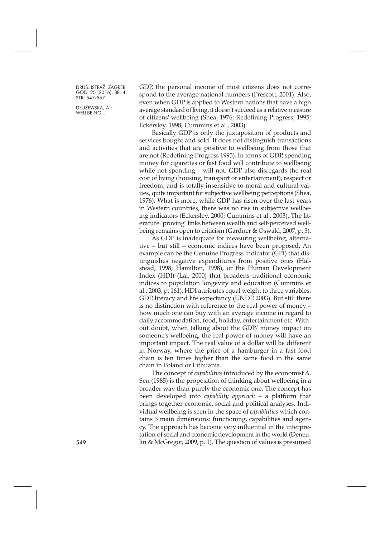DŁUŻEWSKA, A.: WELLBEING...

GDP, the personal income of most citizens does not correspond to the average national numbers (Prescott, 2001). Also, even when GDP is applied to Western nations that have a high average standard of living, it doesn't succeed as a relative measure of citizens' wellbeing (Shea, 1976; Redefining Progress, 1995; Eckersley, 1998; Cummins et al., 2003).

Basically GDP is only the juxtaposition of products and services bought and sold. It does not distinguish transactions and activities that are positive to wellbeing from those that are not (Redefining Progress 1995). In terms of GDP, spending money for cigarettes or fast food will contribute to wellbeing while not spending – will not. GDP also disregards the real cost of living (housing, transport or entertainment), respect or freedom, and is totally insensitive to moral and cultural values, quite important for subjective wellbeing perceptions (Shea, 1976). What is more, while GDP has risen over the last years in Western countries, there was no rise in subjective wellbeing indicators (Eckersley, 2000; Cummins et al., 2003). The literature "proving" links between wealth and self-perceived wellbeing remains open to criticism (Gardner & Oswald, 2007, p. 3).

As GDP is inadequate for measuring wellbeing, alternative – but still – economic indices have been proposed. An example can be the Genuine Progress Indicator (GPI) that distinguishes negative expenditures from positive ones (Halstead, 1998; Hamilton, 1998), or the Human Development Index (HDI) (Lai, 2000) that broadens traditional economic indices to population longevity and education (Cummins et al., 2003, p. 161). HDI attributes equal weight to three variables: GDP, literacy and life expectancy (UNDP, 2003). But still there is no distinction with reference to the real power of money – how much one can buy with an average income in regard to daily accommodation, food, holiday, entertainment etc. Without doubt, when talking about the GDP/ money impact on someone's wellbeing, the real power of money will have an important impact. The real value of a dollar will be different in Norway, where the price of a hamburger in a fast food chain is ten times higher than the same food in the same chain in Poland or Lithuania.

The concept of *capabilities* introduced by the economist A. Sen (1985) is the proposition of thinking about wellbeing in a broader way than purely the economic one. The concept has been developed into *capability approach* – a platform that brings together economic, social and political analyses. Individual wellbeing is seen in the space of *capabilities* which contains 3 main dimensions: functioning, capabilities and agency. The approach has become very influential in the interpretation of social and economic development in the world (Deneu-549 lin & McGregor, 2009, p. 1). The question of values is presumed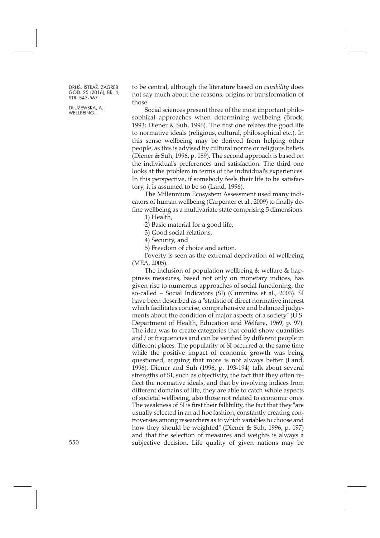DŁUŻEWSKA, A.: WELLBEING...

to be central, although the literature based on *capability* does not say much about the reasons, origins or transformation of those.

Social sciences present three of the most important philosophical approaches when determining wellbeing (Brock, 1993; Diener & Suh, 1996). The first one relates the good life to normative ideals (religious, cultural, philosophical etc.). In this sense wellbeing may be derived from helping other people, as this is advised by cultural norms or religious beliefs (Diener & Suh, 1996, p. 189). The second approach is based on the individual's preferences and satisfaction. The third one looks at the problem in terms of the individual's experiences. In this perspective, if somebody feels their life to be satisfactory, it is assumed to be so (Land, 1996).

The Millennium Ecosystem Assessment used many indicators of human wellbeing (Carpenter et al., 2009) to finally define wellbeing as a multivariate state comprising 5 dimensions:

1) Health,

2) Basic material for a good life,

3) Good social relations,

4) Security, and

5) Freedom of choice and action.

Poverty is seen as the extremal deprivation of wellbeing (MEA, 2005).

The inclusion of population wellbeing & welfare & happiness measures, based not only on monetary indices, has given rise to numerous approaches of social functioning, the so-called – Social Indicators (SI) (Cummins et al., 2003). SI have been described as a "statistic of direct normative interest which facilitates concise, comprehensive and balanced judgements about the condition of major aspects of a society" (U.S. Department of Health, Education and Welfare, 1969, p. 97). The idea was to create categories that could show quantities and / or frequencies and can be verified by different people in different places. The popularity of SI occurred at the same time while the positive impact of economic growth was being questioned, arguing that more is not always better (Land, 1996). Diener and Suh (1996, p. 193-194) talk about several strengths of SI, such as objectivity, the fact that they often reflect the normative ideals, and that by involving indices from different domains of life, they are able to catch whole aspects of societal wellbeing, also those not related to economic ones. The weakness of SI is first their fallibility, the fact that they "are usually selected in an ad hoc fashion, constantly creating controversies among researchers as to which variables to choose and how they should be weighted" (Diener & Suh, 1996, p. 197) and that the selection of measures and weights is always a subjective decision. Life quality of given nations may be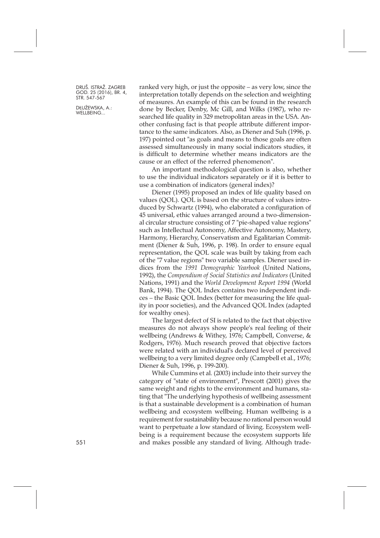DŁUŻEWSKA, A.: WELLBEING...

ranked very high, or just the opposite – as very low, since the interpretation totally depends on the selection and weighting of measures. An example of this can be found in the research done by Becker, Denby, Mc Gill, and Wilks (1987), who researched life quality in 329 metropolitan areas in the USA. Another confusing fact is that people attribute different importance to the same indicators. Also, as Diener and Suh (1996, p. 197) pointed out "as goals and means to those goals are often assessed simultaneously in many social indicators studies, it is difficult to determine whether means indicators are the cause or an effect of the referred phenomenon".

An important methodological question is also, whether to use the individual indicators separately or if it is better to use a combination of indicators (general index)?

Diener (1995) proposed an index of life quality based on values (QOL). QOL is based on the structure of values introduced by Schwartz (1994), who elaborated a configuration of 45 universal, ethic values arranged around a two-dimensional circular structure consisting of 7 "pie-shaped value regions" such as Intellectual Autonomy, Affective Autonomy, Mastery, Harmony, Hierarchy, Conservatism and Egalitarian Commitment (Diener & Suh, 1996, p. 198). In order to ensure equal representation, the QOL scale was built by taking from each of the "7 value regions" two variable samples. Diener used indices from the *1991 Demographic Yearbook* (United Nations, 1992), the *Compendium of Social Statistics and Indicators* (United Nations, 1991) and the *World Development Report 1994* (World Bank, 1994). The QOL Index contains two independent indices – the Basic QOL Index (better for measuring the life quality in poor societies), and the Advanced QOL Index (adapted for wealthy ones).

The largest defect of SI is related to the fact that objective measures do not always show people's real feeling of their wellbeing (Andrews & Withey, 1976; Campbell, Converse, & Rodgers, 1976). Much research proved that objective factors were related with an individual's declared level of perceived wellbeing to a very limited degree only (Campbell et al., 1976; Diener & Suh, 1996, p. 199-200).

While Cummins et al. (2003) include into their survey the category of "state of environment", Prescott (2001) gives the same weight and rights to the environment and humans, stating that "The underlying hypothesis of wellbeing assessment is that a sustainable development is a combination of human wellbeing and ecosystem wellbeing. Human wellbeing is a requirement for sustainability because no rational person would want to perpetuate a low standard of living. Ecosystem wellbeing is a requirement because the ecosystem supports life 551 and makes possible any standard of living. Although trade-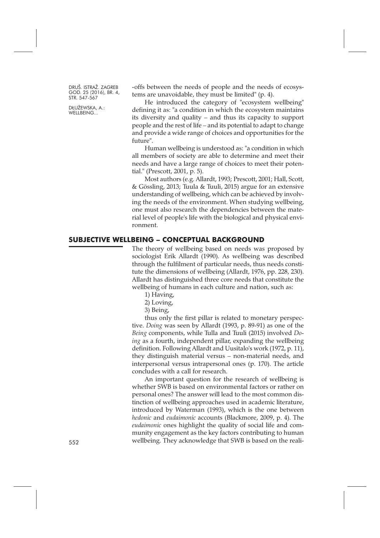DŁUŻEWSKA, A.: WELLBEING...

-offs between the needs of people and the needs of ecosystems are unavoidable, they must be limited" (p. 4).

He introduced the category of "ecosystem wellbeing" defining it as: "a condition in which the ecosystem maintains its diversity and quality – and thus its capacity to support people and the rest of life – and its potential to adapt to change and provide a wide range of choices and opportunities for the future".

Human wellbeing is understood as: "a condition in which all members of society are able to determine and meet their needs and have a large range of choices to meet their potential." (Prescott, 2001, p. 5).

Most authors (e.g. Allardt, 1993; Prescott, 2001; Hall, Scott, & Gössling, 2013; Tuula & Tuuli, 2015) argue for an extensive understanding of wellbeing, which can be achieved by involving the needs of the environment. When studying wellbeing, one must also research the dependencies between the material level of people's life with the biological and physical environment.

## **SUBJECTIVE WELLBEING – CONCEPTUAL BACKGROUND**

The theory of wellbeing based on needs was proposed by sociologist Erik Allardt (1990). As wellbeing was described through the fulfilment of particular needs, thus needs constitute the dimensions of wellbeing (Allardt, 1976, pp. 228, 230). Allardt has distinguished three core needs that constitute the wellbeing of humans in each culture and nation, such as:

1) Having,

2) Loving,

3) Being,

thus only the first pillar is related to monetary perspective. *Doing* was seen by Allardt (1993, p. 89-91) as one of the *Being* components, while Tulla and Tuuli (2015) involved *Doing* as a fourth, independent pillar, expanding the wellbeing definition. Following Allardt and Uusitalo's work (1972, p. 11), they distinguish material versus – non-material needs, and interpersonal versus intrapersonal ones (p. 170). The article concludes with a call for research.

An important question for the research of wellbeing is whether SWB is based on environmental factors or rather on personal ones? The answer will lead to the most common distinction of wellbeing approaches used in academic literature, introduced by Waterman (1993), which is the one between *hedonic* and *eudaimonic* accounts (Blackmore, 2009, p. 4). The *eudaimonic* ones highlight the quality of social life and community engagement as the key factors contributing to human wellbeing. They acknowledge that SWB is based on the reali-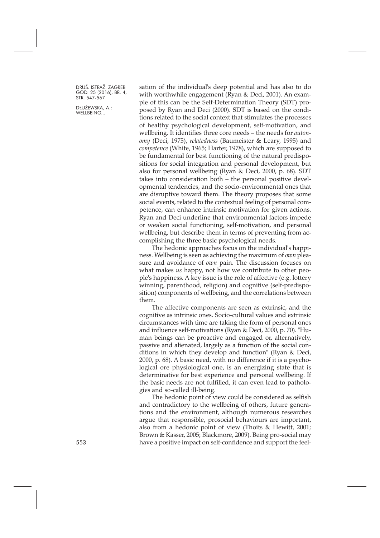DŁUŻEWSKA, A.: WELLBEING...

sation of the individual's deep potential and has also to do with worthwhile engagement (Ryan & Deci, 2001). An example of this can be the Self-Determination Theory (SDT) proposed by Ryan and Deci (2000). SDT is based on the conditions related to the social context that stimulates the processes of healthy psychological development, self-motivation, and wellbeing. It identifies three core needs – the needs for *autonomy* (Deci, 1975), *relatedness* (Baumeister & Leary, 1995) and *competence* (White, 1965; Harter, 1978), which are supposed to be fundamental for best functioning of the natural predispositions for social integration and personal development, but also for personal wellbeing (Ryan & Deci, 2000, p. 68). SDT takes into consideration both – the personal positive developmental tendencies, and the socio-environmental ones that are disruptive toward them. The theory proposes that some social events, related to the contextual feeling of personal competence, can enhance intrinsic motivation for given actions. Ryan and Deci underline that environmental factors impede or weaken social functioning, self-motivation, and personal wellbeing, but describe them in terms of preventing from accomplishing the three basic psychological needs.

The hedonic approaches focus on the individual's happiness. Wellbeing is seen as achieving the maximum of *own* pleasure and avoidance of *own* pain. The discussion focuses on what makes *us* happy, not how we contribute to other people's happiness. A key issue is the role of affective (e.g. lottery winning, parenthood, religion) and cognitive (self-predisposition) components of wellbeing, and the correlations between them.

The affective components are seen as extrinsic, and the cognitive as intrinsic ones. Socio-cultural values and extrinsic circumstances with time are taking the form of personal ones and influence self-motivations (Ryan & Deci, 2000, p. 70). "Human beings can be proactive and engaged or, alternatively, passive and alienated, largely as a function of the social conditions in which they develop and function" (Ryan & Deci, 2000, p. 68). A basic need, with no difference if it is a psychological ore physiological one, is an energizing state that is determinative for best experience and personal wellbeing. If the basic needs are not fulfilled, it can even lead to pathologies and so-called ill-being.

The hedonic point of view could be considered as selfish and contradictory to the wellbeing of others, future generations and the environment, although numerous researches argue that responsible, prosocial behaviours are important, also from a hedonic point of view (Thoits & Hewitt, 2001; Brown & Kasser, 2005; Blackmore, 2009). Being pro-social may 553 have a positive impact on self-confidence and support the feel-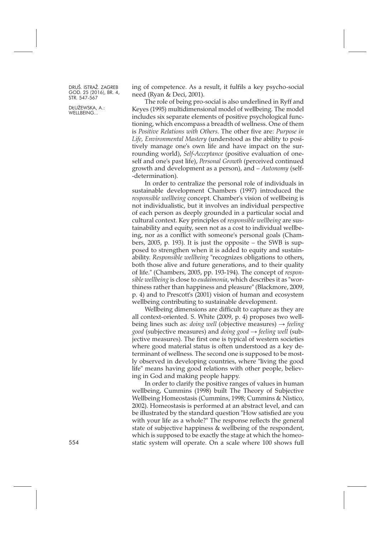DŁUŻEWSKA, A.: WELLBEING...

ing of competence. As a result, it fulfils a key psycho-social need (Ryan & Deci, 2001).

The role of being pro-social is also underlined in Ryff and Keyes (1995) multidimensional model of wellbeing. The model includes six separate elements of positive psychological functioning, which encompass a breadth of wellness. One of them is *Positive Relations with Others*. The other five are: *Purpose in Life, Environmental Mastery* (understood as the ability to positively manage one's own life and have impact on the surrounding world), *Self-Acceptance* (positive evaluation of oneself and one's past life), *Personal Growth* (perceived continued growth and development as a person), and – *Autonomy* (self- -determination).

In order to centralize the personal role of individuals in sustainable development Chambers (1997) introduced the *responsible wellbeing* concept. Chamber's vision of wellbeing is not individualistic, but it involves an individual perspective of each person as deeply grounded in a particular social and cultural context. Key principles of *responsible wellbeing* are sustainability and equity, seen not as a cost to individual wellbeing, nor as a conflict with someone's personal goals (Chambers, 2005, p. 193). It is just the opposite – the SWB is supposed to strengthen when it is added to equity and sustainability. *Responsible wellbeing* "recognizes obligations to others, both those alive and future generations, and to their quality of life." (Chambers, 2005, pp. 193-194). The concept of *responsible wellbeing* is close to *eudaimonia*, which describes it as "worthiness rather than happiness and pleasure" (Blackmore, 2009, p. 4) and to Prescott's (2001) vision of human and ecosystem wellbeing contributing to sustainable development.

Wellbeing dimensions are difficult to capture as they are all context-oriented. S. White (2009, p. 4) proposes two wellbeing lines such as: *doing well* (objective measures) → *feeling good* (subjective measures) and *doing good* → *feeling well* (subjective measures). The first one is typical of western societies where good material status is often understood as a key determinant of wellness. The second one is supposed to be mostly observed in developing countries, where "living the good life" means having good relations with other people, believing in God and making people happy.

In order to clarify the positive ranges of values in human wellbeing, Cummins (1998) built The Theory of Subjective Wellbeing Homeostasis (Cummins, 1998; Cummins & Nistico, 2002). Homeostasis is performed at an abstract level, and can be illustrated by the standard question "How satisfied are you with your life as a whole?" The response reflects the general state of subjective happiness & wellbeing of the respondent, which is supposed to be exactly the stage at which the homeostatic system will operate. On a scale where 100 shows full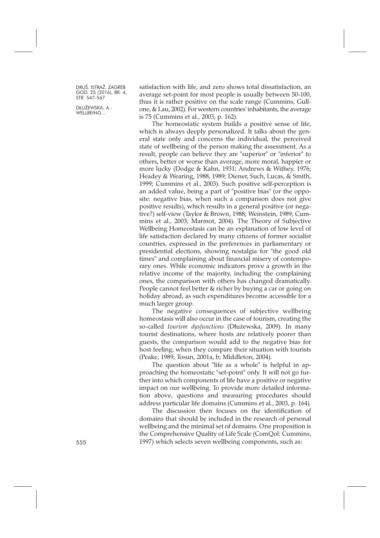DŁUŻEWSKA, A.: WELLBEING...

satisfaction with life, and zero shows total dissatisfaction, an average set-point for most people is usually between 50-100, thus it is rather positive on the scale range (Cummins, Gullone, & Lau, 2002). For western countries' inhabitants, the average is 75 (Cummins et al., 2003, p. 162).

The homeostatic system builds a positive sense of life, which is always deeply personalized. It talks about the general state only and concerns the individual, the perceived state of wellbeing of the person making the assessment. As a result, people can believe they are "superior" or "inferior" to others, better or worse than average, more moral, happier or more lucky (Dodge & Kahn, 1931; Andrews & Withey, 1976; Headey & Wearing, 1988, 1989; Diener, Such, Lucas, & Smith, 1999; Cummins et al., 2003). Such positive self-perception is an added value, being a part of "positive bias" (or the opposite: negative bias, when such a comparison does not give positive results), which results in a general positive (or negative?) self-view (Taylor & Brown, 1988; Weinstein, 1989; Cummins et al., 2003; Marmot, 2004). The Theory of Subjective Wellbeing Homeostasis can be an explanation of low level of life satisfaction declared by many citizens of former socialist countries, expressed in the preferences in parliamentary or presidential elections, showing nostalgia for "the good old times" and complaining about financial misery of contemporary ones. While economic indicators prove a growth in the relative income of the majority, including the complaining ones, the comparison with others has changed dramatically. People cannot feel better & richer by buying a car or going on holiday abroad, as such expenditures become accessible for a much larger group.

The negative consequences of subjective wellbeing homeostasis will also occur in the case of tourism, creating the so-called *tourism dysfunctions* (Dłużewska, 2009). In many tourist destinations, where hosts are relatively poorer than guests, the comparison would add to the negative bias for host feeling, when they compare their situation with tourists (Peake, 1989; Tosun, 2001a, b; Middleton, 2004).

The question about "life as a whole" is helpful in approaching the homeostatic "set-point" only. It will not go further into which components of life have a positive or negative impact on our wellbeing. To provide more detailed information above, questions and measuring procedures should address particular life domains (Cummins et al., 2003, p. 164).

The discussion then focuses on the identification of domains that should be included in the research of personal wellbeing and the minimal set of domains. One proposition is the Comprehensive Quality of Life Scale (ComQol: Cummins, 555 1997) which selects seven wellbeing components, such as: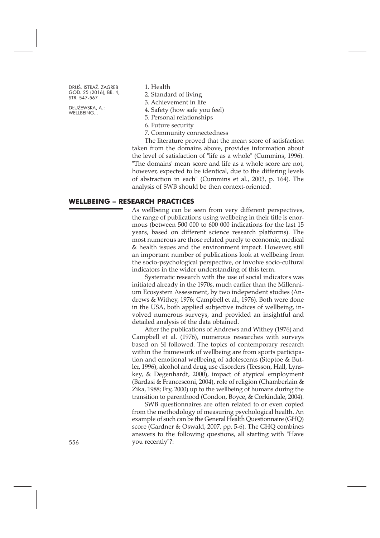DŁUŻEWSKA, A.: WELLBEING...

1. Health

2. Standard of living

3. Achievement in life

4. Safety (how safe you feel)

5. Personal relationships

6. Future security

7. Community connectedness

The literature proved that the mean score of satisfaction taken from the domains above, provides information about the level of satisfaction of "life as a whole" (Cummins, 1996). "The domains' mean score and life as a whole score are not, however, expected to be identical, due to the differing levels of abstraction in each" (Cummins et al., 2003, p. 164). The analysis of SWB should be then context-oriented.

#### **WELLBEING – RESEARCH PRACTICES**

As wellbeing can be seen from very different perspectives, the range of publications using wellbeing in their title is enormous (between 500 000 to 600 000 indications for the last 15 years, based on different science research platforms). The most numerous are those related purely to economic, medical & health issues and the environment impact. However, still an important number of publications look at wellbeing from the socio-psychological perspective, or involve socio-cultural indicators in the wider understanding of this term.

Systematic research with the use of social indicators was initiated already in the 1970s, much earlier than the Millennium Ecosystem Assessment, by two independent studies (Andrews & Withey, 1976; Campbell et al., 1976). Both were done in the USA, both applied subjective indices of wellbeing, involved numerous surveys, and provided an insightful and detailed analysis of the data obtained.

After the publications of Andrews and Withey (1976) and Campbell et al. (1976), numerous researches with surveys based on SI followed. The topics of contemporary research within the framework of wellbeing are from sports participation and emotional wellbeing of adolescents (Steptoe & Butler, 1996), alcohol and drug use disorders (Teesson, Hall, Lynskey, & Degenhardt, 2000), impact of atypical employment (Bardasi & Francesconi, 2004), role of religion (Chamberlain & Zika, 1988; Fry, 2000) up to the wellbeing of humans during the transition to parenthood (Condon, Boyce, & Corkindale, 2004).

SWB questionnaires are often related to or even copied from the methodology of measuring psychological health. An example of such can be the General Health Questionnaire (GHQ) score (Gardner & Oswald, 2007, pp. 5-6). The GHQ combines answers to the following questions, all starting with "Have you recently"?: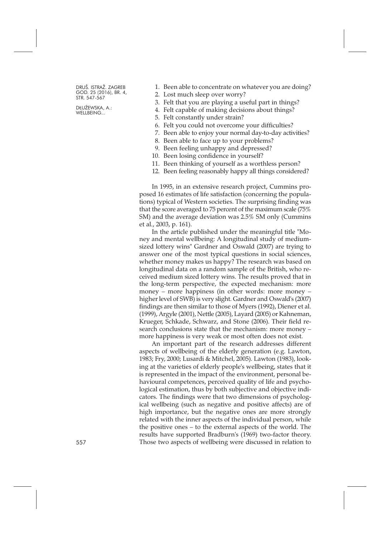DŁUŻEWSKA, A.: WELLBEING...

- 1. Been able to concentrate on whatever you are doing?
- 2. Lost much sleep over worry?
- 3. Felt that you are playing a useful part in things?
- 4. Felt capable of making decisions about things?
- 5. Felt constantly under strain?
- 6. Felt you could not overcome your difficulties?
- 7. Been able to enjoy your normal day-to-day activities?
- 8. Been able to face up to your problems?
- 9. Been feeling unhappy and depressed?
- 10. Been losing confidence in yourself?
- 11. Been thinking of yourself as a worthless person?
- 12. Been feeling reasonably happy all things considered?

In 1995, in an extensive research project, Cummins proposed 16 estimates of life satisfaction (concerning the populations) typical of Western societies. The surprising finding was that the score averaged to 75 percent of the maximum scale (75% SM) and the average deviation was 2.5% SM only (Cummins et al., 2003, p. 161).

In the article published under the meaningful title "Money and mental wellbeing: A longitudinal study of mediumsized lottery wins" Gardner and Oswald (2007) are trying to answer one of the most typical questions in social sciences, whether money makes us happy? The research was based on longitudinal data on a random sample of the British, who received medium sized lottery wins. The results proved that in the long-term perspective, the expected mechanism: more money – more happiness (in other words: more money – higher level of SWB) is very slight. Gardner and Oswald's (2007) findings are then similar to those of Myers (1992), Diener et al. (1999), Argyle (2001), Nettle (2005), Layard (2005) or Kahneman, Krueger, Schkade, Schwarz, and Stone (2006). Their field research conclusions state that the mechanism: more money – more happiness is very weak or most often does not exist.

An important part of the research addresses different aspects of wellbeing of the elderly generation (e.g. Lawton, 1983; Fry, 2000; Lusardi & Mitchel, 2005). Lawton (1983), looking at the varieties of elderly people's wellbeing, states that it is represented in the impact of the environment, personal behavioural competences, perceived quality of life and psychological estimation, thus by both subjective and objective indicators. The findings were that two dimensions of psychological wellbeing (such as negative and positive affects) are of high importance, but the negative ones are more strongly related with the inner aspects of the individual person, while the positive ones – to the external aspects of the world. The results have supported Bradburn's (1969) two-factor theory. 557 Those two aspects of wellbeing were discussed in relation to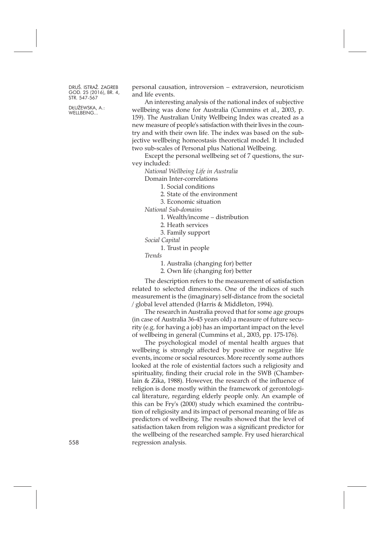DŁUŻEWSKA, A.: WELLBEING...

personal causation, introversion – extraversion, neuroticism and life events.

An interesting analysis of the national index of subjective wellbeing was done for Australia (Cummins et al., 2003, p. 159). The Australian Unity Wellbeing Index was created as a new measure of people's satisfaction with their lives in the country and with their own life. The index was based on the subjective wellbeing homeostasis theoretical model. It included two sub-scales of Personal plus National Wellbeing.

Except the personal wellbeing set of 7 questions, the survey included:

*National Wellbeing Life in Australia*

Domain Inter-correlations

1. Social conditions

2. State of the environment

3. Economic situation

*National Sub-domains*

1. Wealth/income – distribution

2. Heath services

3. Family support

*Social Capital*

1. Trust in people

*Trends*

1. Australia (changing for) better

2. Own life (changing for) better

The description refers to the measurement of satisfaction related to selected dimensions. One of the indices of such measurement is the (imaginary) self-distance from the societal / global level attended (Harris & Middleton, 1994).

The research in Australia proved that for some age groups (in case of Australia 36-45 years old) a measure of future security (e.g. for having a job) has an important impact on the level of wellbeing in general (Cummins et al., 2003, pp. 175-176).

The psychological model of mental health argues that wellbeing is strongly affected by positive or negative life events, income or social resources. More recently some authors looked at the role of existential factors such a religiosity and spirituality, finding their crucial role in the SWB (Chamberlain & Zika, 1988). However, the research of the influence of religion is done mostly within the framework of gerontological literature, regarding elderly people only. An example of this can be Fry's (2000) study which examined the contribution of religiosity and its impact of personal meaning of life as predictors of wellbeing. The results showed that the level of satisfaction taken from religion was a significant predictor for the wellbeing of the researched sample. Fry used hierarchical regression analysis.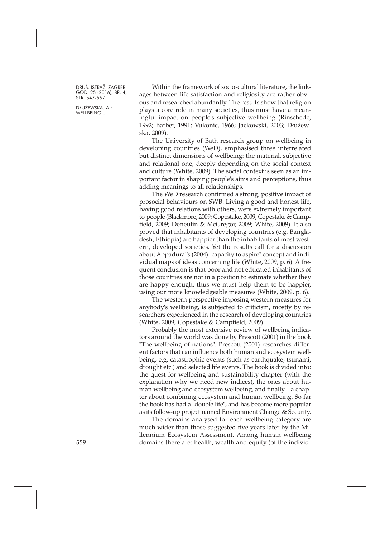Within the framework of socio-cultural literature, the linkages between life satisfaction and religiosity are rather obvious and researched abundantly. The results show that religion plays a core role in many societies, thus must have a meaningful impact on people's subjective wellbeing (Rinschede, 1992; Barber, 1991; Vukonic, 1966; Jackowski, 2003; Dłużewska, 2009).

The University of Bath research group on wellbeing in developing countries (WeD), emphasised three interrelated but distinct dimensions of wellbeing: the material, subjective and relational one, deeply depending on the social context and culture (White, 2009). The social context is seen as an important factor in shaping people's aims and perceptions, thus adding meanings to all relationships.

The WeD research confirmed a strong, positive impact of prosocial behaviours on SWB. Living a good and honest life, having good relations with others, were extremely important to people (Blackmore, 2009; Copestake, 2009; Copestake & Campfield, 2009; Deneulin & McGregor, 2009; White, 2009). It also proved that inhabitants of developing countries (e.g. Bangladesh, Ethiopia) are happier than the inhabitants of most western, developed societies. Yet the results call for a discussion about Appadurai's (2004) "capacity to aspire" concept and individual maps of ideas concerning life (White, 2009, p. 6). A frequent conclusion is that poor and not educated inhabitants of those countries are not in a position to estimate whether they are happy enough, thus we must help them to be happier, using our more knowledgeable measures (White, 2009, p. 6).

The western perspective imposing western measures for anybody's wellbeing, is subjected to criticism, mostly by researchers experienced in the research of developing countries (White, 2009; Copestake & Campfield, 2009).

Probably the most extensive review of wellbeing indicators around the world was done by Prescott (2001) in the book "The wellbeing of nations". Prescott (2001) researches different factors that can influence both human and ecosystem wellbeing, e.g. catastrophic events (such as earthquake, tsunami, drought etc.) and selected life events. The book is divided into: the quest for wellbeing and sustainability chapter (with the explanation why we need new indices), the ones about human wellbeing and ecosystem wellbeing, and finally – a chapter about combining ecosystem and human wellbeing. So far the book has had a "double life", and has become more popular as its follow-up project named Environment Change & Security.

The domains analysed for each wellbeing category are much wider than those suggested five years later by the Millennium Ecosystem Assessment. Among human wellbeing 559 domains there are: health, wealth and equity (of the individ-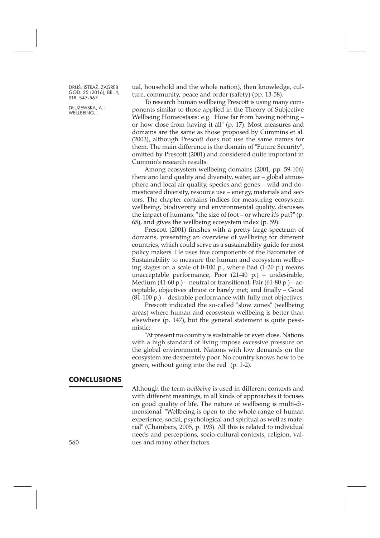DŁUŻEWSKA, A.: WELLBEING...

ual, household and the whole nation), then knowledge, culture, community, peace and order (safety) (pp. 13-58).

To research human wellbeing Prescott is using many components similar to those applied in the Theory of Subjective Wellbeing Homeostasis: e.g. "How far from having nothing – or how close from having it all" (p. 17). Most measures and domains are the same as those proposed by Cummins et al. (2003), although Prescott does not use the same names for them. The main difference is the domain of "Future Security", omitted by Prescott (2001) and considered quite important in Cummin's research results.

Among ecosystem wellbeing domains (2001, pp. 59-106) there are: land quality and diversity, water, air – global atmosphere and local air quality, species and genes – wild and domesticated diversity, resource use – energy, materials and sectors. The chapter contains indices for measuring ecosystem wellbeing, biodiversity and environmental quality, discusses the impact of humans: "the size of foot – or where it's put?" (p. 65), and gives the wellbeing ecosystem index (p. 59).

Prescott (2001) finishes with a pretty large spectrum of domains, presenting an overview of wellbeing for different countries, which could serve as a sustainability guide for most policy makers. He uses five components of the Barometer of Sustainability to measure the human and ecosystem wellbeing stages on a scale of 0-100 p., where Bad (1-20 p.) means unacceptable performance, Poor (21-40 p.) – undesirable, Medium (41-60 p.) – neutral or transitional; Fair (61-80 p.) – acceptable, objectives almost or barely met; and finally – Good (81-100 p.) – desirable performance with fully met objectives.

Prescott indicated the so-called "slow zones" (wellbeing areas) where human and ecosystem wellbeing is better than elsewhere (p. 147), but the general statement is quite pessimistic:

"At present no country is sustainable or even close. Nations with a high standard of living impose excessive pressure on the global environment. Nations with low demands on the ecosystem are desperately poor. No country knows how to be green, without going into the red" (p. 1-2).

### **CONCLUSIONS**

Although the term *wellbeing* is used in different contexts and with different meanings, in all kinds of approaches it focuses on good quality of life. The nature of wellbeing is multi-dimensional. "Wellbeing is open to the whole range of human experience, social, psychological and spiritual as well as material" (Chambers, 2005, p. 193). All this is related to individual needs and perceptions, socio-cultural contexts, religion, values and many other factors.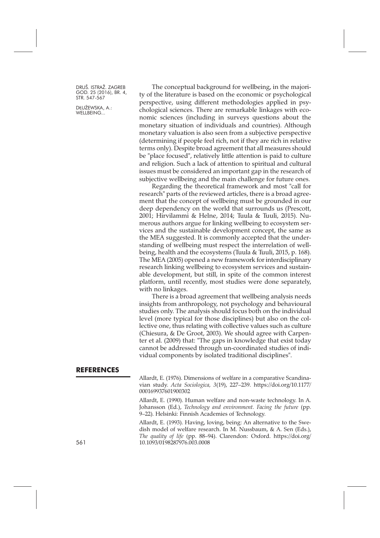DŁUŻEWSKA, A.: WELLBEING...

The conceptual background for wellbeing, in the majority of the literature is based on the economic or psychological perspective, using different methodologies applied in psychological sciences. There are remarkable linkages with economic sciences (including in surveys questions about the monetary situation of individuals and countries). Although monetary valuation is also seen from a subjective perspective (determining if people feel rich, not if they are rich in relative terms only). Despite broad agreement that all measures should be "place focused", relatively little attention is paid to culture and religion. Such a lack of attention to spiritual and cultural issues must be considered an important gap in the research of subjective wellbeing and the main challenge for future ones.

Regarding the theoretical framework and most "call for research" parts of the reviewed articles, there is a broad agreement that the concept of wellbeing must be grounded in our deep dependency on the world that surrounds us (Prescott, 2001; Hirvilammi & Helne, 2014; Tuula & Tuuli, 2015). Numerous authors argue for linking wellbeing to ecosystem services and the sustainable development concept, the same as the MEA suggested. It is commonly accepted that the understanding of wellbeing must respect the interrelation of wellbeing, health and the ecosystems (Tuula & Tuuli, 2015, p. 168). The MEA (2005) opened a new framework for interdisciplinary research linking wellbeing to ecosystem services and sustainable development, but still, in spite of the common interest platform, until recently, most studies were done separately, with no linkages.

There is a broad agreement that wellbeing analysis needs insights from anthropology, not psychology and behavioural studies only. The analysis should focus both on the individual level (more typical for those disciplines) but also on the collective one, thus relating with collective values such as culture (Chiesura, & De Groot, 2003). We should agree with Carpenter et al. (2009) that: "The gaps in knowledge that exist today cannot be addressed through un-coordinated studies of individual components by isolated traditional disciplines".

#### **REFERENCES**

Allardt, E. (1976). Dimensions of welfare in a comparative Scandinavian study. *Acta Sociologica, 3*(19), 227–239. [https://doi.org/10.1177/](https://doi.org/10.1177/000169937601900302) [000169937601900302](https://doi.org/10.1177/000169937601900302)

Allardt, E. (1990). Human welfare and non-waste technology. In A. Johansson (Ed.), *Technology and environment. Facing the future* (pp. 9–22). Helsinki: Finnish Academies of Technology.

Allardt, E. (1993). Having, loving, being: An alternative to the Swedish model of welfare research. In M. Nussbaum, & A. Sen (Eds.), *The quality of life* (pp. 88–94). Clarendon: Oxford. [https://doi.org/](https://doi.org/10.1093/0198287976.003.0008) 561 [10.1093/0198287976.003.0008](https://doi.org/10.1093/0198287976.003.0008)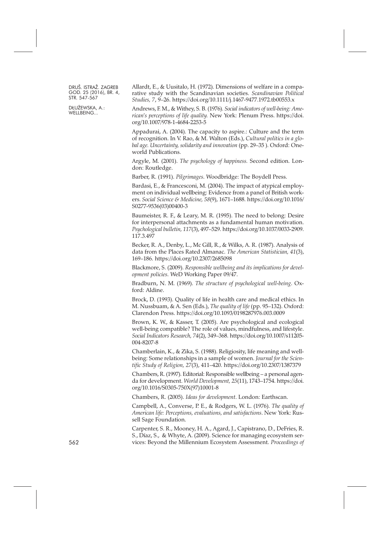DŁUŻEWSKA, A.: WELLBEING...

Allardt, E., & Uusitalo, H. (1972). Dimensions of welfare in a comparative study with the Scandinavian societies. *Scandinavian Political Studies, 7*, 9–26. <https://doi.org/10.1111/j.1467-9477.1972.tb00553.x>

Andrews, F. M., & Withey, S. B. (1976). *Social indicators of well-being: American's perceptions of life quality.* New York: Plenum Press. [https://doi.](https://doi.org/10.1007/978-1-4684-2253-5) [org/10.1007/978-1-4684-2253-5](https://doi.org/10.1007/978-1-4684-2253-5)

Appadurai, A. (2004). The capacity to aspire.: Culture and the term of recognition. In V. Rao, & M. Walton (Eds.), *Cultural politics in a global age. Uncertainty, solidarity and innovation* (pp. 29–35 ). Oxford: Oneworld Publications.

Argyle, M. (2001). *The psychology of happiness.* Second edition. London: Routledge.

Barber, R. (1991). *Pilgrimages*. Woodbridge: The Boydell Press.

Bardasi, E., & Francesconi, M. (2004). The impact of atypical employment on individual wellbeing: Evidence from a panel of British workers. *Social Science & Medicine, 58*(9), 1671–1688. [https://doi.org/10.1016/](https://doi.org/10.1016/S0277-9536(03)00400-3) [S0277-9536\(03\)00400-3](https://doi.org/10.1016/S0277-9536(03)00400-3)

Baumeister, R. F., & Leary, M. R. (1995). The need to belong: Desire for interpersonal attachments as a fundamental human motivation. *Psychological bulletin, 117*(3), 497–529. [https://doi.org/10.1037/0033-2909.](https://doi.org/10.1037/0033-2909.117.3.497) [117.3.497](https://doi.org/10.1037/0033-2909.117.3.497)

Becker, R. A., Denby, L., Mc Gill, R., & Wilks, A. R. (1987). Analysis of data from the Places Rated Almanac. *The American Statistician, 41*(3), 169–186. <https://doi.org/10.2307/2685098>

Blackmore, S. (2009). *Responsible wellbeing and its implications for development policies*. WeD Working Paper 09/47.

Bradburn, N. M. (1969). *The structure of psychological well-being*. Oxford: Aldine.

Brock, D. (1993). Quality of life in health care and medical ethics. In M. Nussbuam, & A. Sen (Eds.), *The quality of life* (pp. 95–132). Oxford: Clarendon Press. <https://doi.org/10.1093/0198287976.003.0009>

Brown, K. W., & Kasser, T. (2005). Are psychological and ecological well-being compatible? The role of values, mindfulness, and lifestyle. *Social Indicators Research, 74*(2), 349–368. [https://doi.org/10.1007/s11205-](https://doi.org/10.1007/s11205-004-8207-8) [004-8207-8](https://doi.org/10.1007/s11205-004-8207-8)

Chamberlain, K., & Zika, S. (1988). Religiosity, life meaning and wellbeing: Some relationships in a sample of women. *Journal for the Scientific Study of Religion, 27*(3), 411–420. <https://doi.org/10.2307/1387379>

Chambers, R. (1997). Editorial: Responsible wellbeing – a personal agenda for development. *World Development, 25*(11), 1743–1754. [https://doi.](https://doi.org/10.1016/S0305-750X(97)10001-8) [org/10.1016/S0305-750X\(97\)10001-8](https://doi.org/10.1016/S0305-750X(97)10001-8)

Chambers, R. (2005). *Ideas for development*. London: Earthscan.

Campbell, A., Converse, P. E., & Rodgers, W. L. (1976). *The quality of American life: Perceptions, evaluations, and satisfactions*. New York: Russell Sage Foundation.

Carpenter, S. R., Mooney, H. A., Agard, J., Capistrano, D., DeFries, R. S., Díaz, S., & Whyte, A. (2009). Science for managing ecosystem services: Beyond the Millennium Ecosystem Assessment. *Proceedings of*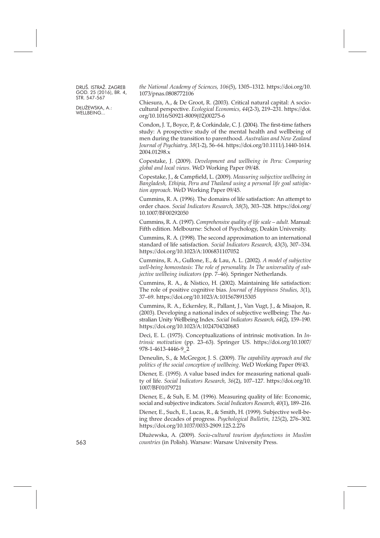DŁUŻEWSKA, A.: WELLBEING...

*the National Academy of Sciences, 106*(5), 1305–1312. [https://doi.org/10.](https://doi.org/10.1073/pnas.0808772106) [1073/pnas.0808772106](https://doi.org/10.1073/pnas.0808772106)

Chiesura, A., & De Groot, R. (2003). Critical natural capital: A sociocultural perspective. *Ecological Economics, 44*(2-3), 219–231. [https://doi.](https://doi.org/10.1016/S0921-8009(02)00275-6) [org/10.1016/S0921-8009\(02\)00275-6](https://doi.org/10.1016/S0921-8009(02)00275-6)

Condon, J. T., Boyce, P., & Corkindale, C. J. (2004). The first-time fathers study: A prospective study of the mental health and wellbeing of men during the transition to parenthood. *Australian and New Zealand Journal of Psychiatry, 38*(1-2), 56–64. [https://doi.org/10.1111/j.1440-1614.](https://doi.org/10.1111/j.1440-1614.2004.01298.x) [2004.01298.x](https://doi.org/10.1111/j.1440-1614.2004.01298.x)

Copestake, J. (2009). *Development and wellbeing in Peru: Comparing global and local views*. WeD Working Paper 09/48.

Copestake, J., & Campfield, L. (2009). *Measuring subjective wellbeing in Bangladesh, Ethipia, Peru and Thailand using a personal life goal satisfaction approach*. WeD Working Paper 09/45.

Cummins, R. A. (1996). The domains of life satisfaction: An attempt to order chaos. *Social Indicators Research, 38*(3), 303–328. [https://doi.org/](https://doi.org/10.1007/BF00292050) [10.1007/BF00292050](https://doi.org/10.1007/BF00292050)

Cummins, R. A. (1997). *Comprehensive quality of life scale – adult.* Manual: Fifth edition. Melbourne: School of Psychology, Deakin University.

Cummins, R. A. (1998). The second approximation to an international standard of life satisfaction. *Social Indicators Research, 43*(3), 307–334. <https://doi.org/10.1023/A:1006831107052>

Cummins, R. A., Gullone, E., & Lau, A. L. (2002). *A model of subjective well-being homeostasis: The role of personality. In The universality of subjective wellbeing indicators* (pp. 7–46). Springer Netherlands.

Cummins, R. A., & Nistico, H. (2002). Maintaining life satisfaction: The role of positive cognitive bias. *Journal of Happiness Studies, 3*(1), 37–69. <https://doi.org/10.1023/A:1015678915305>

Cummins, R. A., Eckersley, R., Pallant, J., Van Vugt, J., & Misajon, R. (2003). Developing a national index of subjective wellbeing: The Australian Unity Wellbeing Index. *Social Indicators Research, 64*(2), 159–190. <https://doi.org/10.1023/A:1024704320683>

Deci, E. L. (1975). Conceptualizations of intrinsic motivation. In *Intrinsic motivation* (pp. 23–63). Springer US. [https://doi.org/10.1007/](https://doi.org/10.1007/978-1-4613-4446-9_2) [978-1-4613-4446-9\\_2](https://doi.org/10.1007/978-1-4613-4446-9_2)

Deneulin, S., & McGregor, J. S. (2009). *The capability approach and the politics of the social conception of wellbeing*. WeD Working Paper 09/43.

Diener, E. (1995). A value based index for measuring national quality of life. *Social Indicators Research, 36*(2), 107–127. [https://doi.org/10.](https://doi.org/10.1007/BF01079721) [1007/BF01079721](https://doi.org/10.1007/BF01079721)

Diener, E., & Suh, E. M. (1996). Measuring quality of life: Economic, social and subjective indicators. *Social Indicators Research, 40*(1), 189–216.

Diener, E., Such, E., Lucas, R., & Smith, H. (1999). Subjective well-being three decades of progress. *Psychological Bulletin, 125*(2), 276–302. <https://doi.org/10.1037/0033-2909.125.2.276>

Dłużewska, A. (2009). *Socio-cultural tourism dysfunctions in Muslim* 563 *countries* (in Polish). Warsaw: Warsaw University Press.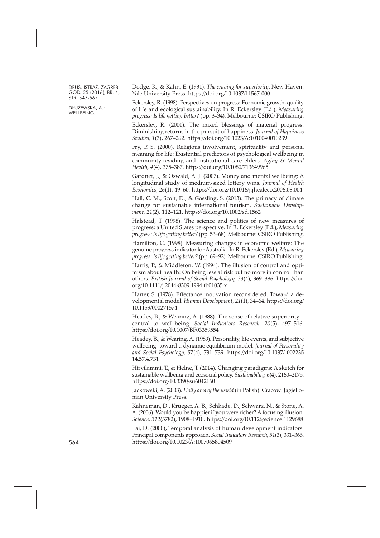DŁUŻEWSKA, A.: WELLBEING...

Dodge, R., & Kahn, E. (1931). *The craving for superiority*. New Haven: Yale University Press. <https://doi.org/10.1037/11567-000>

Eckersley, R. (1998). Perspectives on progress: Economic growth, quality of life and ecological sustainability. In R. Eckersley (Ed.), *Measuring progress: Is life getting better?* (pp. 3–34). Melbourne: CSIRO Publishing.

Eckersley, R. (2000). The mixed blessings of material progress: Diminishing returns in the pursuit of happiness. *Journal of Happiness Studies, 1*(3), 267–292. <https://doi.org/10.1023/A:1010040010239>

Fry, P. S. (2000). Religious involvement, spirituality and personal meaning for life: Existential predictors of psychological wellbeing in community-residing and institutional care elders. *Aging & Mental Health, 4*(4), 375–387. <https://doi.org/10.1080/713649965>

Gardner, J., & Oswald, A. J. (2007). Money and mental wellbeing: A longitudinal study of medium-sized lottery wins. *Journal of Health Economics, 26*(1), 49–60. <https://doi.org/10.1016/j.jhealeco.2006.08.004>

Hall, C. M., Scott, D., & Gössling, S. (2013). The primacy of climate change for sustainable international tourism. *Sustainable Development, 21*(2), 112–121. <https://doi.org/10.1002/sd.1562>

Halstead, T. (1998). The science and politics of new measures of progress: a United States perspective. In R. Eckersley (Ed.), *Measuring progress: Islife getting better?* (pp. 53–68). Melbourne: CSIRO Publishing.

Hamilton, C. (1998). Measuring changes in economic welfare: The genuine progress indicator for Australia. In R. Eckersley (Ed.), *Measuring progress: Islife getting better?* (pp. 69–92). Melbourne: CSIRO Publishing.

Harris, P., & Middleton, W. (1994). The illusion of control and optimism about health: On being less at risk but no more in control than others. *British Journal of Social Psychology, 33*(4), 369–386. [https://doi.](https://doi.org/10.1111/j.2044-8309.1994.tb01035.x) [org/10.1111/j.2044-8309.1994.tb01035.x](https://doi.org/10.1111/j.2044-8309.1994.tb01035.x)

Harter, S. (1978). Effectance motivation reconsidered. Toward a developmental model. *Human Development, 21*(1), 34–64. [https://doi.org/](https://doi.org/10.1159/000271574) [10.1159/000271574](https://doi.org/10.1159/000271574)

Headey, B., & Wearing, A. (1988). The sense of relative superiority – central to well-being. *Social Indicators Research, 20*(5), 497–516. <https://doi.org/10.1007/BF03359554>

Headey, B., & Wearing, A. (1989). Personality, life events, and subjective wellbeing: toward a dynamic equilibrium model. *Journal of Personality and Social Psychology, 57*(4), 731–739. [https://doi.org/10.1037/](https://doi.org/10.1037/0022-3514.57.4.731) 002235 [14.57.4.731](https://doi.org/10.1037/0022-3514.57.4.731)

Hirvilammi, T., & Helne, T. (2014). Changing paradigms: A sketch for sustainable wellbeing and ecosocial policy. *Sustainability, 6*(4), 2160–2175. <https://doi.org/10.3390/su6042160>

Jackowski, A. (2003). *Holly area of the world* (in Polish). Cracow: Jagiellonian University Press.

Kahneman, D., Krueger, A. B., Schkade, D., Schwarz, N., & Stone, A. A. (2006). Would you be happierif you were richer? A focusing illusion. *Science, 312*(5782), 1908–1910. <https://doi.org/10.1126/science.1129688>

Lai, D. (2000), Temporal analysis of human development indicators: Principal components approach. *Social Indicators Research, 51*(3), 331–366. <https://doi.org/10.1023/A:1007065804509>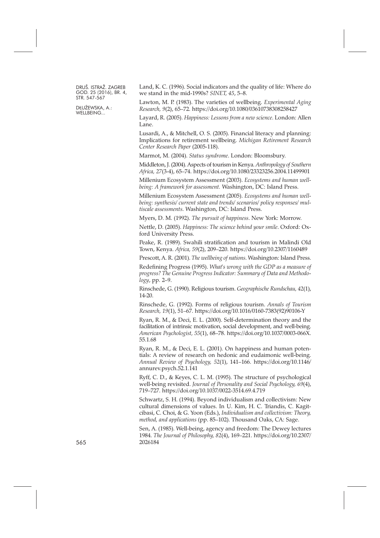DŁUŻEWSKA, A.: WELLBEING...

Land, K. C. (1996). Social indicators and the quality of life: Where do we stand in the mid-1990s? *SINET, 45*, 5–8.

Lawton, M. P. (1983). The varieties of wellbeing. *Experimental Aging Research, 9*(2), 65–72. <https://doi.org/10.1080/03610738308258427>

Layard, R. (2005). *Happiness: Lessons from a new science*. London: Allen Lane.

Lusardi, A., & Mitchell, O. S. (2005). Financial literacy and planning: Implications for retirement wellbeing. *Michigan Retirement Research Center Research Paper* (2005-118).

Marmot, M. (2004). *Status syndrome*. London: Bloomsbury.

Middleton, J. (2004).Aspects of tourism inKenya.*Anthropology of Southern Africa, 27*(3-4), 65–74. <https://doi.org/10.1080/23323256.2004.11499901>

Millenium Ecosystem Assessment (2003). *Ecosystems and human wellbeing: A framework for assessment.* Washington, DC: Island Press.

Millenium Ecosystem Assessment (2005). *Ecosystems and human wellbeing: synthesis/ current state and trends/ scenarios/ policy responses/ multiscale assessments*. Washington, DC: Island Press.

Myers, D. M. (1992). *The pursuit of happiness*. New York: Morrow.

Nettle, D. (2005). *Happiness: The science behind your smile*. Oxford: Oxford University Press.

Peake, R. (1989). Swahili stratification and tourism in Malindi Old Town, Kenya. *Africa, 59*(2), 209–220. <https://doi.org/10.2307/1160489>

Prescott, A. R. (2001). *The wellbeing of nations*. Washington: Island Press.

Redefining Progress (1995). *What's wrong with the GDP as a measure of progress? The Genuine Progress Indicator: Summary of Data and Methodology*, pp. 2–9.

Rinschede, G. (1990). Religious tourism. *Geographische Rundschau, 42*(1), 14-20.

Rinschede, G. (1992). Forms of religious tourism. *Annals of Tourism Research, 19*(1), 51–67. [https://doi.org/10.1016/0160-7383\(92\)90106-Y](https://doi.org/10.1016/0160-7383(92)90106-Y)

Ryan, R. M., & Deci, E. L. (2000). Self-determination theory and the facilitation of intrinsic motivation, social development, and well-being. *American Psychologist, 55*(1), 68–78. [https://doi.org/10.1037/0003-066X.](https://doi.org/10.1037/0003-066X.55.1.68) [55.1.68](https://doi.org/10.1037/0003-066X.55.1.68)

Ryan, R. M., & Deci, E. L. (2001). On happiness and human potentials: A review of research on hedonic and eudaimonic well-being. *Annual Review of Psychology, 52*(1), 141–166. [https://doi.org/10.1146/](https://doi.org/10.1146/annurev.psych.52.1.141) [annurev.psych.52.1.141](https://doi.org/10.1146/annurev.psych.52.1.141)

Ryff, C. D., & Keyes, C. L. M. (1995). The structure of psychological well-being revisited. *Journal of Personality and Social Psychology, 69*(4), 719–727. <https://doi.org/10.1037/0022-3514.69.4.719>

Schwartz, S. H. (1994). Beyond individualism and collectivism: New cultural dimensions of values. In U. Kim, H. C. Triandis, C. Kagitcibasi, C. Choi, & G. Yoon (Eds.), *Individualism and collectivism: Theory, method, and applications* (pp. 85–102). Thousand Oaks, CA: Sage.

Sen, A. (1985). Well-being, agency and freedom: The Dewey lectures 1984. *The Journal of Philosophy, 82*(4), 169–221. [https://doi.org/10.2307/](https://doi.org/10.2307/2026184) 565 [2026184](https://doi.org/10.2307/2026184)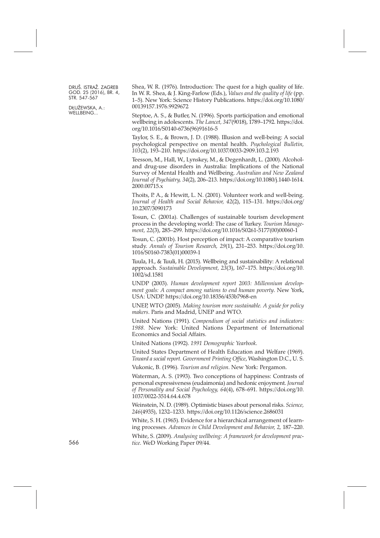DŁUŻEWSKA, A.: WELLBEING...

Shea, W. R. (1976). Introduction: The quest for a high quality of life. In W. R. Shea, & J. King-Farlow (Eds.), *Values and the quality of life* (pp. 1–5). New York: Science History Publications. [https://doi.org/10.1080/](https://doi.org/10.1080/00139157.1976.9929672) [00139157.1976.9929672](https://doi.org/10.1080/00139157.1976.9929672)

Steptoe, A. S., & Butler, N. (1996). Sports participation and emotional wellbeing in adolescents. *The Lancet, 347*(9018), 1789–1792. [https://doi.](https://doi.org/10.1016/S0140-6736(96)91616-5) [org/10.1016/S0140-6736\(96\)91616-5](https://doi.org/10.1016/S0140-6736(96)91616-5)

Taylor, S. E., & Brown, J. D. (1988). Illusion and well-being: A social psychological perspective on mental health. *Psychological Bulletin, 103*(2), 193–210. <https://doi.org/10.1037/0033-2909.103.2.193>

Teesson, M., Hall, W., Lynskey, M., & Degenhardt, L. (2000). Alcoholand drug-use disorders in Australia: Implications of the National Survey of Mental Health and Wellbeing. *Australian and New Zealand Journal of Psychiatry, 34*(2), 206–213. [https://doi.org/10.1080/j.1440-1614.](https://doi.org/10.1080/j.1440-1614.2000.00715.x) [2000.00715.x](https://doi.org/10.1080/j.1440-1614.2000.00715.x)

Thoits, P. A., & Hewitt, L. N. (2001). Volunteer work and well-being. *Journal of Health and Social Behavior, 42*(2), 115–131. [https://doi.org/](https://doi.org/10.2307/3090173) [10.2307/3090173](https://doi.org/10.2307/3090173)

Tosun, C. (2001a). Challenges of sustainable tourism development process in the developing world: The case of Turkey. *Tourism Management, 22*(3), 285–299. [https://doi.org/10.1016/S0261-5177\(00\)00060-1](https://doi.org/10.1016/S0261-5177(00)00060-1)

Tosun, C. (2001b). Host perception of impact: A comparative tourism study. *Annals of Tourism Research, 29*(1), 231–253. [https://doi.org/10.](https://doi.org/10.1016/S0160-7383(01)00039-1) [1016/S0160-7383\(01\)00039-1](https://doi.org/10.1016/S0160-7383(01)00039-1)

Tuula, H., & Tuuli, H. (2015). Wellbeing and sustainability: A relational approach. *Sustainable Development, 23*(3), 167–175. [https://doi.org/10.](https://doi.org/10.1002/sd.1581) [1002/sd.1581](https://doi.org/10.1002/sd.1581)

UNDP (2003). *Human development report 2003: Millennium development goals: A compact among nations to end human poverty*. New York, USA: UNDP. <https://doi.org/10.18356/453b7968-en>

UNEP, WTO (2005). *Making tourism more sustainable. A guide for policy makers*. Paris and Madrid, UNEP and WTO.

United Nations (1991). *Compendium of social statistics and indicators: 1988.* New York: United Nations Department of International Economics and Social Affairs.

United Nations (1992). *1991 Demographic Yearbook*.

United States Department of Health Education and Welfare (1969). *Toward a social report. Government Printing Office*, Washington D.C., U. S.

Vukonic, B. (1996). *Tourism and religion*. New York: Pergamon.

Waterman, A. S. (1993). Two conceptions of happiness: Contrasts of personal expressiveness (eudaimonia) and hedonic enjoyment. *Journal of Personality and Social Psychology, 64*(4), 678–691. [https://doi.org/10.](https://doi.org/10.1037/0022-3514.64.4.678) [1037/0022-3514.64.4.678](https://doi.org/10.1037/0022-3514.64.4.678)

Weinstein, N. D. (1989). Optimistic biases about personal risks. *Science, 246*(4935), 1232–1233. <https://doi.org/10.1126/science.2686031>

White, S. H. (1965). Evidence for a hierarchical arrangement of learning processes. *Advances in Child Development and Behavior, 2,* 187–220.

White, S. (2009). *Analysing wellbeing: A framework for development practice*. WeD Working Paper 09/44.